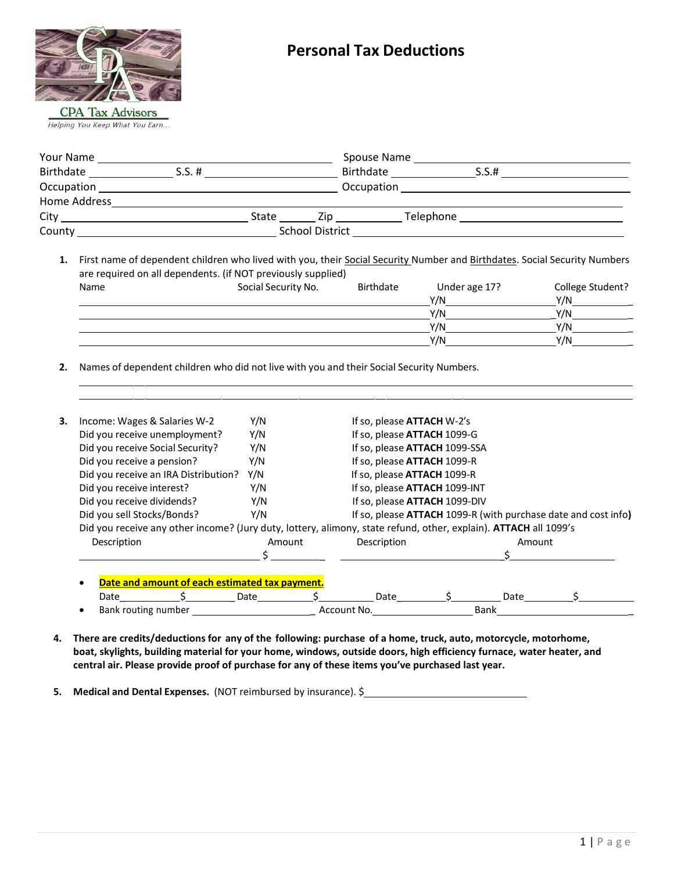

| Your Name    |           |       |                        | Spouse Name |       |  |
|--------------|-----------|-------|------------------------|-------------|-------|--|
| Birthdate    | $S.S. \#$ |       | Birthdate              |             | S.S.# |  |
| Occupation   |           |       |                        | Occupation  |       |  |
| Home Address |           |       |                        |             |       |  |
| City         |           | State | Zip.                   | Telephone   |       |  |
| County       |           |       | <b>School District</b> |             |       |  |

1. First name of dependent children who lived with you, their **Social Security Number and Birthdates**. Social Security Numbers are required on all dependents. (if NOT previously supplied) Name Social Security No. Birthdate Under age 17? College Student?

| . |  | $\frac{1}{2}$ | $\sim$ |
|---|--|---------------|--------|
|   |  | V/N           | Y/N    |
|   |  | V/N           | V/N    |
|   |  | V/N           | Y/N    |
|   |  | V/N           | Y/N    |

**2.** Names of dependent children who did not live with you and their Social Security Numbers.

| 3. | Income: Wages & Salaries W-2                                                                                     | Y/N                                |                             | If so, please <b>ATTACH</b> W-2's                              |  |             |  |  |
|----|------------------------------------------------------------------------------------------------------------------|------------------------------------|-----------------------------|----------------------------------------------------------------|--|-------------|--|--|
|    | Did you receive unemployment?                                                                                    | Y/N                                | If so, please ATTACH 1099-G |                                                                |  |             |  |  |
|    | Did you receive Social Security?                                                                                 | Y/N                                |                             | If so, please ATTACH 1099-SSA                                  |  |             |  |  |
|    | Did you receive a pension?                                                                                       | Y/N                                |                             | If so, please ATTACH 1099-R                                    |  |             |  |  |
|    | Did you receive an IRA Distribution?                                                                             | If so, please ATTACH 1099-R<br>Y/N |                             |                                                                |  |             |  |  |
|    | Did you receive interest?                                                                                        | Y/N                                |                             | If so, please ATTACH 1099-INT                                  |  |             |  |  |
|    | Did you receive dividends?                                                                                       | Y/N                                |                             | If so, please ATTACH 1099-DIV                                  |  |             |  |  |
|    | Did you sell Stocks/Bonds?                                                                                       | Y/N                                |                             | If so, please ATTACH 1099-R (with purchase date and cost info) |  |             |  |  |
|    | Did you receive any other income? (Jury duty, lottery, alimony, state refund, other, explain). ATTACH all 1099's |                                    |                             |                                                                |  |             |  |  |
|    | Description                                                                                                      | Amount                             |                             | Description                                                    |  | Amount      |  |  |
|    |                                                                                                                  |                                    |                             |                                                                |  |             |  |  |
|    |                                                                                                                  |                                    |                             |                                                                |  |             |  |  |
|    | Date and amount of each estimated tax payment.                                                                   |                                    |                             |                                                                |  |             |  |  |
|    | Date                                                                                                             | Date                               |                             | Date                                                           |  | Date        |  |  |
|    | Bank routing number                                                                                              |                                    | Account No.                 |                                                                |  | <b>Bank</b> |  |  |

**4. There are credits/deductions for any of the following: purchase of a home, truck, auto, motorcycle, motorhome, boat, skylights, building material for your home, windows, outside doors, high efficiency furnace, water heater, and central air. Please provide proof of purchase for any of these items you've purchased last year.**

**5. Medical and Dental Expenses.** (NOT reimbursed by insurance). \$